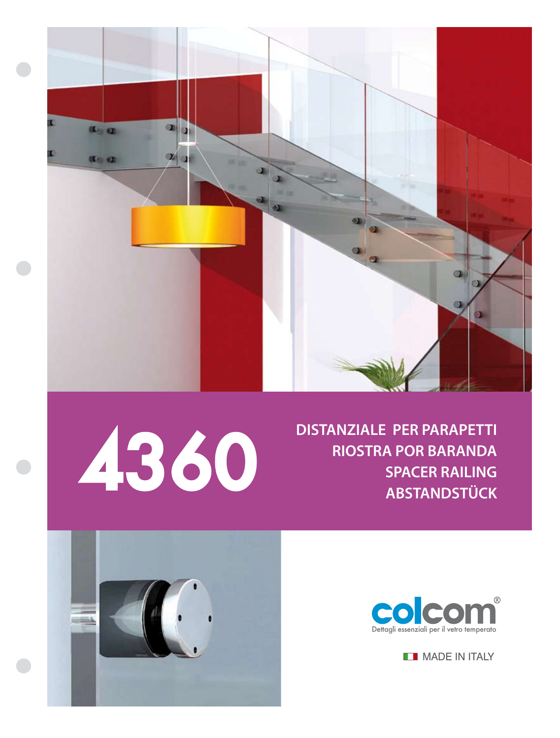



 $\bullet$ 

**DISTANZIALE PER PARAPETTI RIOSTRA POR BARANDA**





**MADE IN ITALY**